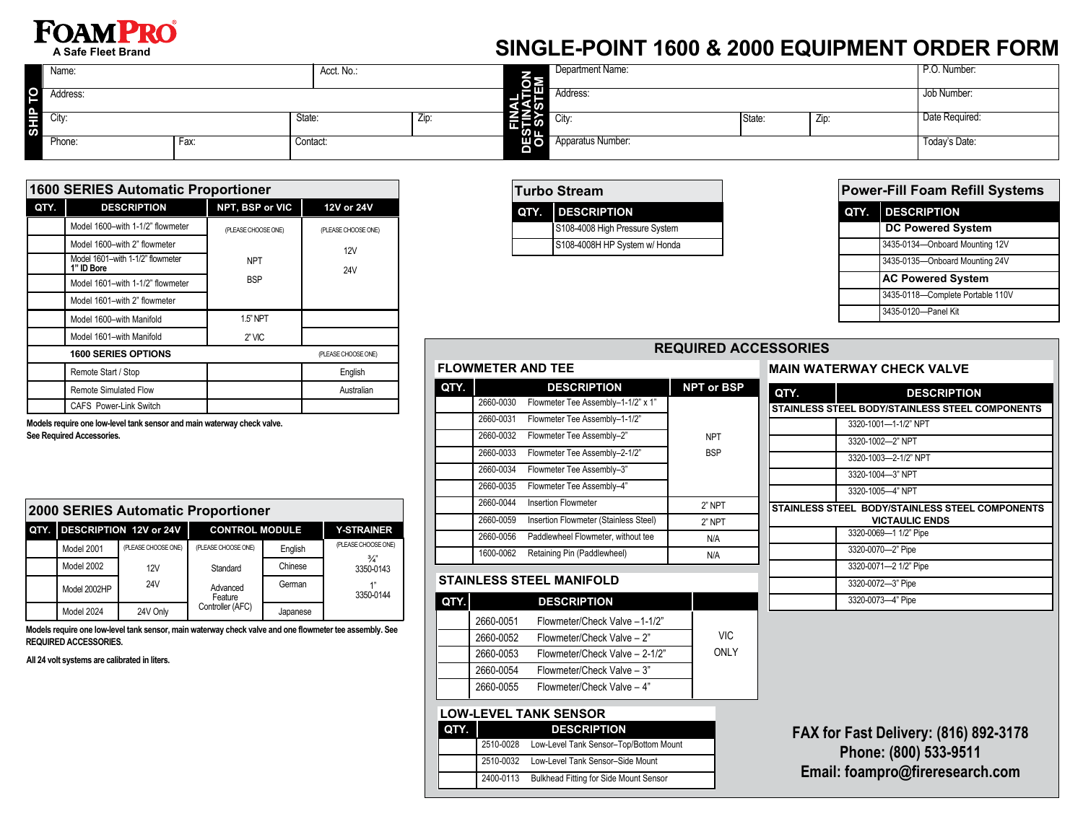# **FOAMPRO**

**A Safe Fleet Brand**

## **SINGLE-POINT 1600 & 2000 EQUIPMENT ORDER FORM**

|         | Name:    |      | Acct. No.: |            |                       | Department Name:  |        | P.O. Number:  |                |
|---------|----------|------|------------|------------|-----------------------|-------------------|--------|---------------|----------------|
|         | Address: |      |            |            | ≚π<br>∽لکا -<br>(⊘ٰ 2 | Address:          |        | Job Number:   |                |
| ä<br>ີທ | City:    |      | State:     | <b>LIL</b> | 一二三の<br>ம             | City:             | State: | - <i>L</i> ip | Date Required: |
|         | Phone:   | Fax: | Contact:   |            | ய∂∎                   | Apparatus Number: |        |               | Today's Date:  |

|      | <b>1600 SERIES Automatic Proportioner</b>      |                     |                     |  |  |
|------|------------------------------------------------|---------------------|---------------------|--|--|
| QTY. | <b>DESCRIPTION</b>                             | NPT, BSP or VIC     | 12V or 24V          |  |  |
|      | Model 1600-with 1-1/2" flowmeter               | (PLEASE CHOOSE ONE) | (PLEASE CHOOSE ONE) |  |  |
|      | Model 1600-with 2" flowmeter                   |                     | 12V                 |  |  |
|      | Model 1601-with 1-1/2" flowmeter<br>1" ID Bore | <b>NPT</b>          | 24V                 |  |  |
|      | Model 1601-with 1-1/2" flowmeter               | <b>BSP</b>          |                     |  |  |
|      | Model 1601-with 2" flowmeter                   |                     |                     |  |  |
|      | Model 1600-with Manifold                       | 1.5" NPT            |                     |  |  |
|      | Model 1601-with Manifold                       | $2"$ VIC            |                     |  |  |
|      | <b>1600 SERIES OPTIONS</b>                     |                     | (PLEASE CHOOSE ONE) |  |  |
|      | Remote Start / Stop                            |                     | English             |  |  |
|      | <b>Remote Simulated Flow</b>                   |                     | Australian          |  |  |
|      | <b>CAFS Power-Link Switch</b>                  |                     |                     |  |  |

**Models require one low-level tank sensor and main waterway check valve. See Required Accessories.** 

| <b>2000 SERIES Automatic Proportioner</b> |                             |                       |          |                            |  |
|-------------------------------------------|-----------------------------|-----------------------|----------|----------------------------|--|
|                                           | QTY. DESCRIPTION 12V or 24V | <b>CONTROL MODULE</b> |          | <b>Y-STRAINER</b>          |  |
| Model 2001                                | (PLEASE CHOOSE ONE)         | (PLEASE CHOOSE ONE)   | English  | (PLEASE CHOOSE ONE)        |  |
| Model 2002                                | 12V                         | Standard              | Chinese  | $\frac{3}{4}$<br>3350-0143 |  |
| Model 2002HP                              | 24V                         | Advanced<br>Feature   | German   | 1"<br>3350-0144            |  |
| Model 2024                                | 24V Only                    | Controller (AFC)      | Japanese |                            |  |

**Models require one low-level tank sensor, main waterway check valve and one flowmeter tee assembly. See REQUIRED ACCESSORIES.**

#### **All 24 volt systems are calibrated in liters.**

|                         | <b>Turbo Stream</b>            |  |  |
|-------------------------|--------------------------------|--|--|
| <b>QTY.</b> DESCRIPTION |                                |  |  |
|                         | S108-4008 High Pressure System |  |  |
|                         | S108-4008H HP System w/ Honda  |  |  |

|      | <b>Power-Fill Foam Refill Systems</b> |  |  |
|------|---------------------------------------|--|--|
| QTY. | <b>DESCRIPTION</b>                    |  |  |
|      | <b>DC Powered System</b>              |  |  |
|      | 3435-0134-Onboard Mounting 12V        |  |  |
|      | 3435-0135-Onboard Mounting 24V        |  |  |
|      | <b>AC Powered System</b>              |  |  |
|      | 3435-0118-Complete Portable 110V      |  |  |
|      | 3435-0120-Panel Kit                   |  |  |

#### **REQUIRED ACCESSORIES**

| QTY. |           | <b>DESCRIPTION</b>                    | <b>NPT or BSP</b> |
|------|-----------|---------------------------------------|-------------------|
|      | 2660-0030 | Flowmeter Tee Assembly-1-1/2" x 1"    |                   |
|      | 2660-0031 | Flowmeter Tee Assembly-1-1/2"         |                   |
|      | 2660-0032 | Flowmeter Tee Assembly-2"             | <b>NPT</b>        |
|      | 2660-0033 | Flowmeter Tee Assembly-2-1/2"         | <b>BSP</b>        |
|      | 2660-0034 | Flowmeter Tee Assembly-3"             |                   |
|      | 2660-0035 | Flowmeter Tee Assembly-4"             |                   |
|      | 2660-0044 | <b>Insertion Flowmeter</b>            | 2" NPT            |
|      | 2660-0059 | Insertion Flowmeter (Stainless Steel) | 2" NPT            |
|      | 2660-0056 | Paddlewheel Flowmeter, without tee    | N/A               |
|      | 1600-0062 | Retaining Pin (Paddlewheel)           | N/A               |

#### **STAINLESS STEEL MANIFOLD**

| QTY. |           | <b>DESCRIPTION</b>             |            |
|------|-----------|--------------------------------|------------|
|      | 2660-0051 | Flowmeter/Check Valve -1-1/2"  |            |
|      | 2660-0052 | Flowmeter/Check Valve - 2"     | <b>VIC</b> |
|      | 2660-0053 | Flowmeter/Check Valve - 2-1/2" | ONLY       |
|      | 2660-0054 | Flowmeter/Check Valve - 3"     |            |
|      | 2660-0055 | Flowmeter/Check Valve - 4"     |            |

#### **LOW-LEVEL TANK SENSOR**

| QTY. | <b>DESCRIPTION</b> |                                        |  |
|------|--------------------|----------------------------------------|--|
|      | 2510-0028          | Low-Level Tank Sensor-Top/Bottom Mount |  |
|      | 2510-0032          | Low-Level Tank Sensor-Side Mount       |  |
|      | 2400-0113          | Bulkhead Fitting for Side Mount Sensor |  |

|        | <b>MAIN WATERWAY CHECK VALVE</b> |
|--------|----------------------------------|
| I QTY. | <b>DESCRIPTION</b>               |

| .                                               | PLOVINE HUN                                                              |  |  |
|-------------------------------------------------|--------------------------------------------------------------------------|--|--|
| STAINLESS STEEL BODY/STAINLESS STEEL COMPONENTS |                                                                          |  |  |
|                                                 | 3320-1001-1-1/2" NPT                                                     |  |  |
|                                                 | 3320-1002-2" NPT                                                         |  |  |
|                                                 | 3320-1003-2-1/2" NPT                                                     |  |  |
|                                                 | 3320-1004-3" NPT                                                         |  |  |
|                                                 | 3320-1005-4" NPT                                                         |  |  |
|                                                 | STAINLESS STEEL BODY/STAINLESS STEEL COMPONENTS<br><b>VICTAULIC ENDS</b> |  |  |
|                                                 | 3320-0069-1 1/2" Pipe                                                    |  |  |
|                                                 | 3320-0070-2" Pipe                                                        |  |  |
|                                                 | 3320-0071-2 1/2" Pipe                                                    |  |  |
|                                                 | 3320-0072-3" Pipe                                                        |  |  |
|                                                 | 3320-0073-4" Pipe                                                        |  |  |

**FAX for Fast Delivery: (816) 892-3178 Phone: (800) 533-9511 Email: foampro@fireresearch.com**